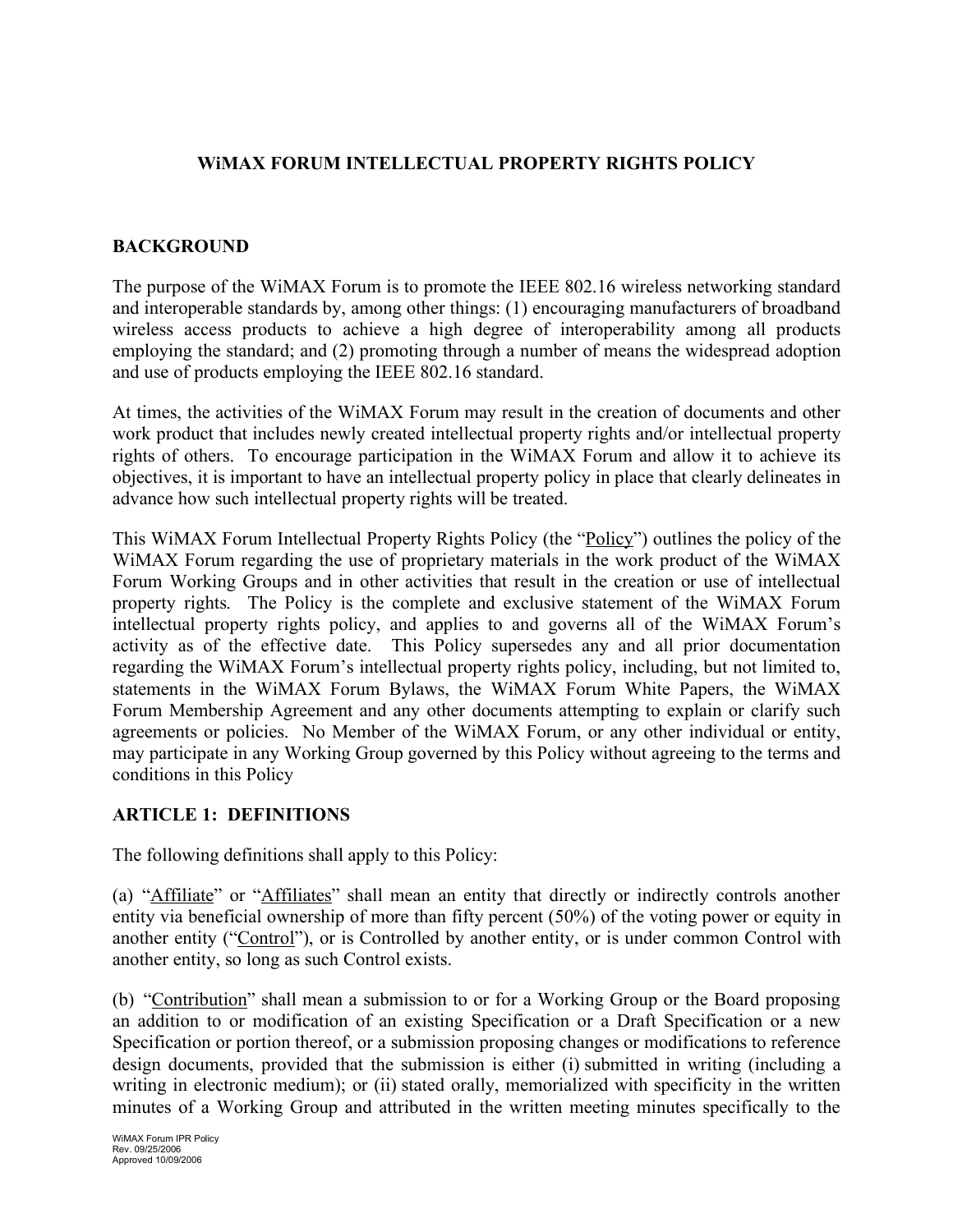## **WiMAX FORUM INTELLECTUAL PROPERTY RIGHTS POLICY**

### **BACKGROUND**

The purpose of the WiMAX Forum is to promote the IEEE 802.16 wireless networking standard and interoperable standards by, among other things: (1) encouraging manufacturers of broadband wireless access products to achieve a high degree of interoperability among all products employing the standard; and (2) promoting through a number of means the widespread adoption and use of products employing the IEEE 802.16 standard.

At times, the activities of the WiMAX Forum may result in the creation of documents and other work product that includes newly created intellectual property rights and/or intellectual property rights of others. To encourage participation in the WiMAX Forum and allow it to achieve its objectives, it is important to have an intellectual property policy in place that clearly delineates in advance how such intellectual property rights will be treated.

This WiMAX Forum Intellectual Property Rights Policy (the "Policy") outlines the policy of the WiMAX Forum regarding the use of proprietary materials in the work product of the WiMAX Forum Working Groups and in other activities that result in the creation or use of intellectual property rights. The Policy is the complete and exclusive statement of the WiMAX Forum intellectual property rights policy, and applies to and governs all of the WiMAX Forum's activity as of the effective date. This Policy supersedes any and all prior documentation regarding the WiMAX Forum's intellectual property rights policy, including, but not limited to, statements in the WiMAX Forum Bylaws, the WiMAX Forum White Papers, the WiMAX Forum Membership Agreement and any other documents attempting to explain or clarify such agreements or policies. No Member of the WiMAX Forum, or any other individual or entity, may participate in any Working Group governed by this Policy without agreeing to the terms and conditions in this Policy

#### **ARTICLE 1: DEFINITIONS**

The following definitions shall apply to this Policy:

(a) "Affiliate" or "Affiliates" shall mean an entity that directly or indirectly controls another entity via beneficial ownership of more than fifty percent (50%) of the voting power or equity in another entity ("Control"), or is Controlled by another entity, or is under common Control with another entity, so long as such Control exists.

(b) "Contribution" shall mean a submission to or for a Working Group or the Board proposing an addition to or modification of an existing Specification or a Draft Specification or a new Specification or portion thereof, or a submission proposing changes or modifications to reference design documents, provided that the submission is either (i) submitted in writing (including a writing in electronic medium); or (ii) stated orally, memorialized with specificity in the written minutes of a Working Group and attributed in the written meeting minutes specifically to the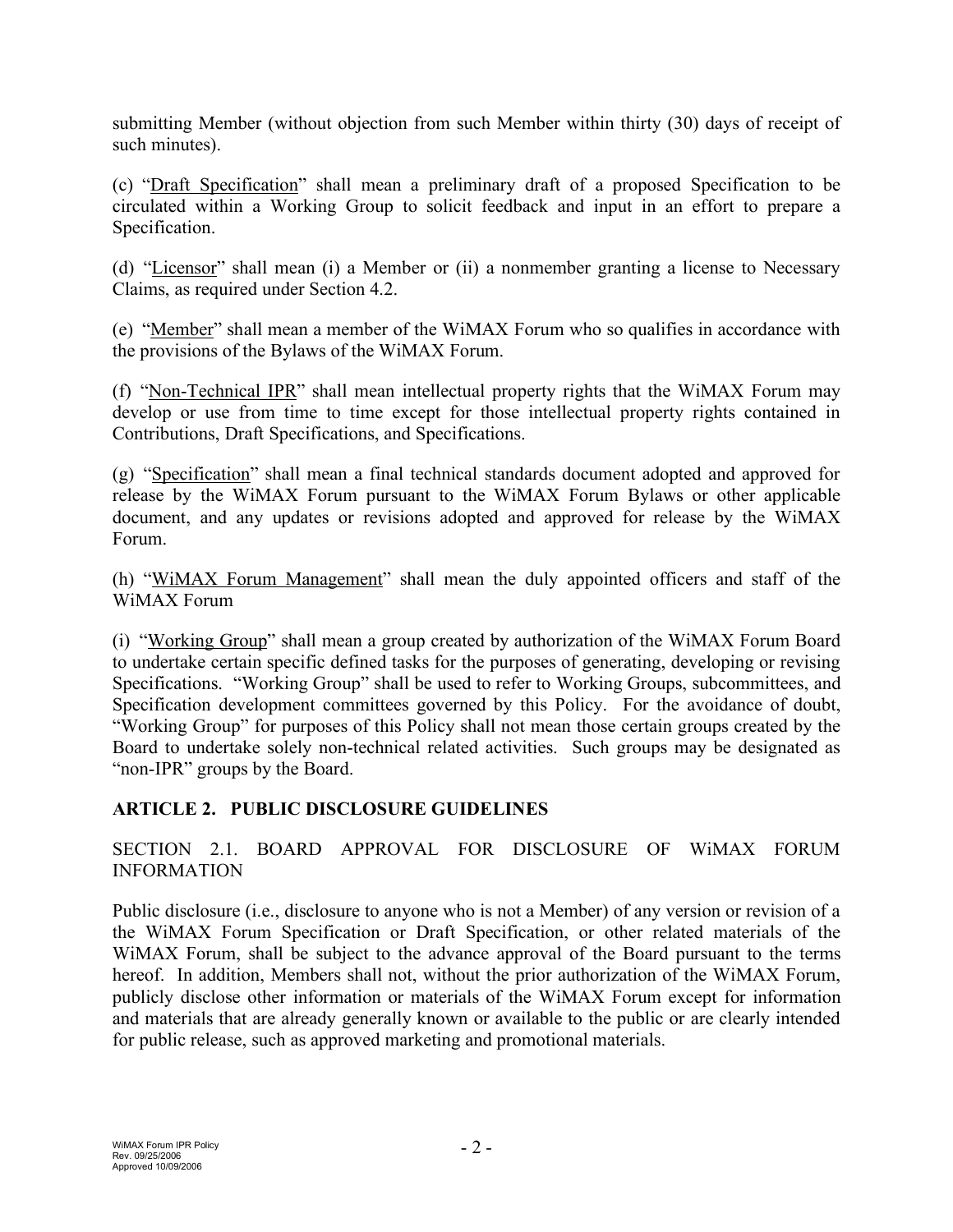submitting Member (without objection from such Member within thirty (30) days of receipt of such minutes).

(c) "Draft Specification" shall mean a preliminary draft of a proposed Specification to be circulated within a Working Group to solicit feedback and input in an effort to prepare a Specification.

(d) "Licensor" shall mean (i) a Member or (ii) a nonmember granting a license to Necessary Claims, as required under Section 4.2.

(e) "Member" shall mean a member of the WiMAX Forum who so qualifies in accordance with the provisions of the Bylaws of the WiMAX Forum.

(f) "Non-Technical IPR" shall mean intellectual property rights that the WiMAX Forum may develop or use from time to time except for those intellectual property rights contained in Contributions, Draft Specifications, and Specifications.

(g) "Specification" shall mean a final technical standards document adopted and approved for release by the WiMAX Forum pursuant to the WiMAX Forum Bylaws or other applicable document, and any updates or revisions adopted and approved for release by the WiMAX Forum.

(h) "WiMAX Forum Management" shall mean the duly appointed officers and staff of the WiMAX Forum

(i) "Working Group" shall mean a group created by authorization of the WiMAX Forum Board to undertake certain specific defined tasks for the purposes of generating, developing or revising Specifications. "Working Group" shall be used to refer to Working Groups, subcommittees, and Specification development committees governed by this Policy. For the avoidance of doubt, "Working Group" for purposes of this Policy shall not mean those certain groups created by the Board to undertake solely non-technical related activities. Such groups may be designated as "non-IPR" groups by the Board.

# **ARTICLE 2. PUBLIC DISCLOSURE GUIDELINES**

SECTION 2.1. BOARD APPROVAL FOR DISCLOSURE OF WiMAX FORUM INFORMATION

Public disclosure (i.e., disclosure to anyone who is not a Member) of any version or revision of a the WiMAX Forum Specification or Draft Specification, or other related materials of the WiMAX Forum, shall be subject to the advance approval of the Board pursuant to the terms hereof. In addition, Members shall not, without the prior authorization of the WiMAX Forum, publicly disclose other information or materials of the WiMAX Forum except for information and materials that are already generally known or available to the public or are clearly intended for public release, such as approved marketing and promotional materials.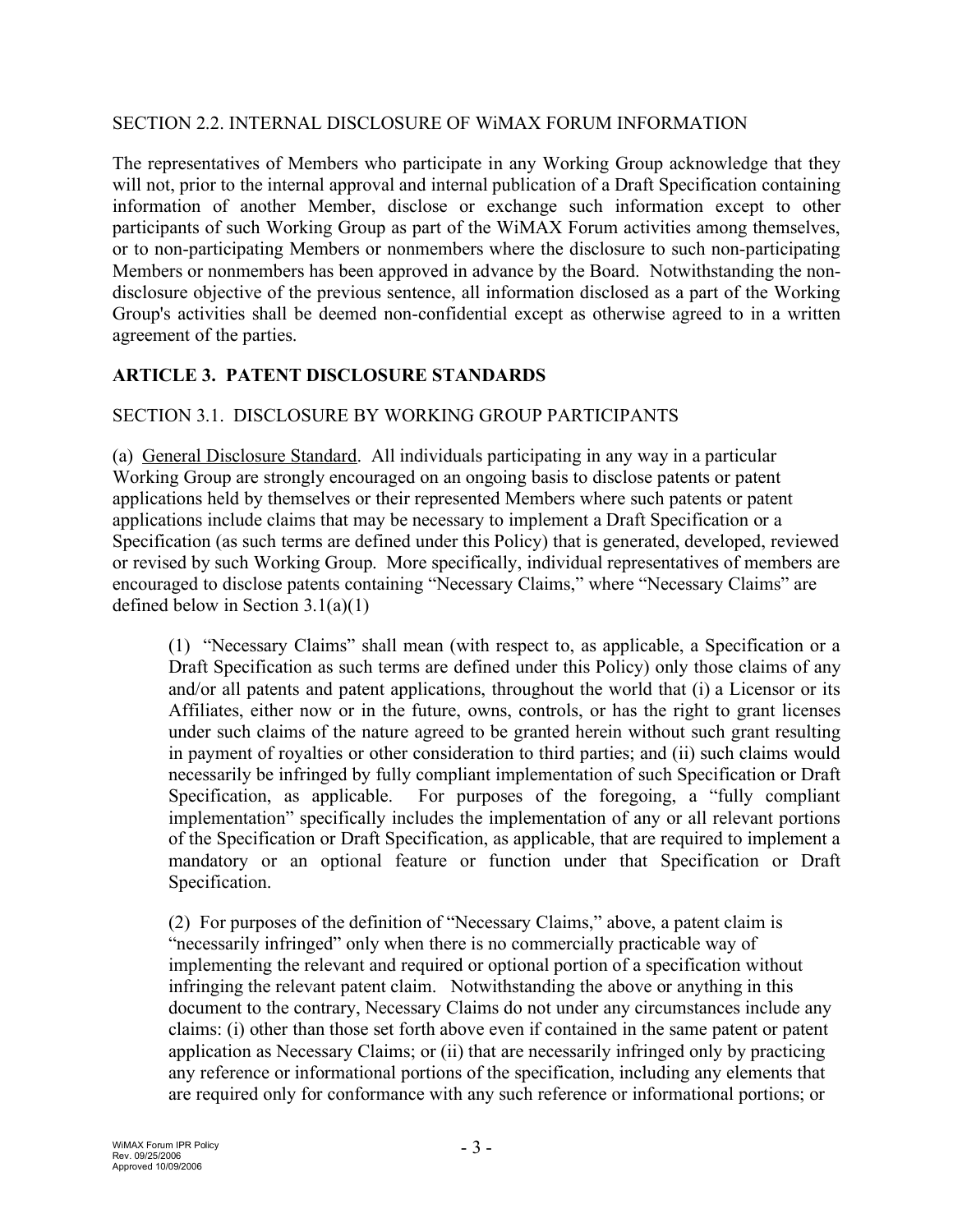#### SECTION 2.2. INTERNAL DISCLOSURE OF WiMAX FORUM INFORMATION

The representatives of Members who participate in any Working Group acknowledge that they will not, prior to the internal approval and internal publication of a Draft Specification containing information of another Member, disclose or exchange such information except to other participants of such Working Group as part of the WiMAX Forum activities among themselves, or to non-participating Members or nonmembers where the disclosure to such non-participating Members or nonmembers has been approved in advance by the Board. Notwithstanding the nondisclosure objective of the previous sentence, all information disclosed as a part of the Working Group's activities shall be deemed non-confidential except as otherwise agreed to in a written agreement of the parties.

## **ARTICLE 3. PATENT DISCLOSURE STANDARDS**

#### SECTION 3.1. DISCLOSURE BY WORKING GROUP PARTICIPANTS

(a) General Disclosure Standard. All individuals participating in any way in a particular Working Group are strongly encouraged on an ongoing basis to disclose patents or patent applications held by themselves or their represented Members where such patents or patent applications include claims that may be necessary to implement a Draft Specification or a Specification (as such terms are defined under this Policy) that is generated, developed, reviewed or revised by such Working Group. More specifically, individual representatives of members are encouraged to disclose patents containing "Necessary Claims," where "Necessary Claims" are defined below in Section  $3.1(a)(1)$ 

(1) "Necessary Claims" shall mean (with respect to, as applicable, a Specification or a Draft Specification as such terms are defined under this Policy) only those claims of any and/or all patents and patent applications, throughout the world that (i) a Licensor or its Affiliates, either now or in the future, owns, controls, or has the right to grant licenses under such claims of the nature agreed to be granted herein without such grant resulting in payment of royalties or other consideration to third parties; and (ii) such claims would necessarily be infringed by fully compliant implementation of such Specification or Draft Specification, as applicable. For purposes of the foregoing, a "fully compliant implementation" specifically includes the implementation of any or all relevant portions of the Specification or Draft Specification, as applicable, that are required to implement a mandatory or an optional feature or function under that Specification or Draft Specification.

(2) For purposes of the definition of "Necessary Claims," above, a patent claim is "necessarily infringed" only when there is no commercially practicable way of implementing the relevant and required or optional portion of a specification without infringing the relevant patent claim. Notwithstanding the above or anything in this document to the contrary, Necessary Claims do not under any circumstances include any claims: (i) other than those set forth above even if contained in the same patent or patent application as Necessary Claims; or (ii) that are necessarily infringed only by practicing any reference or informational portions of the specification, including any elements that are required only for conformance with any such reference or informational portions; or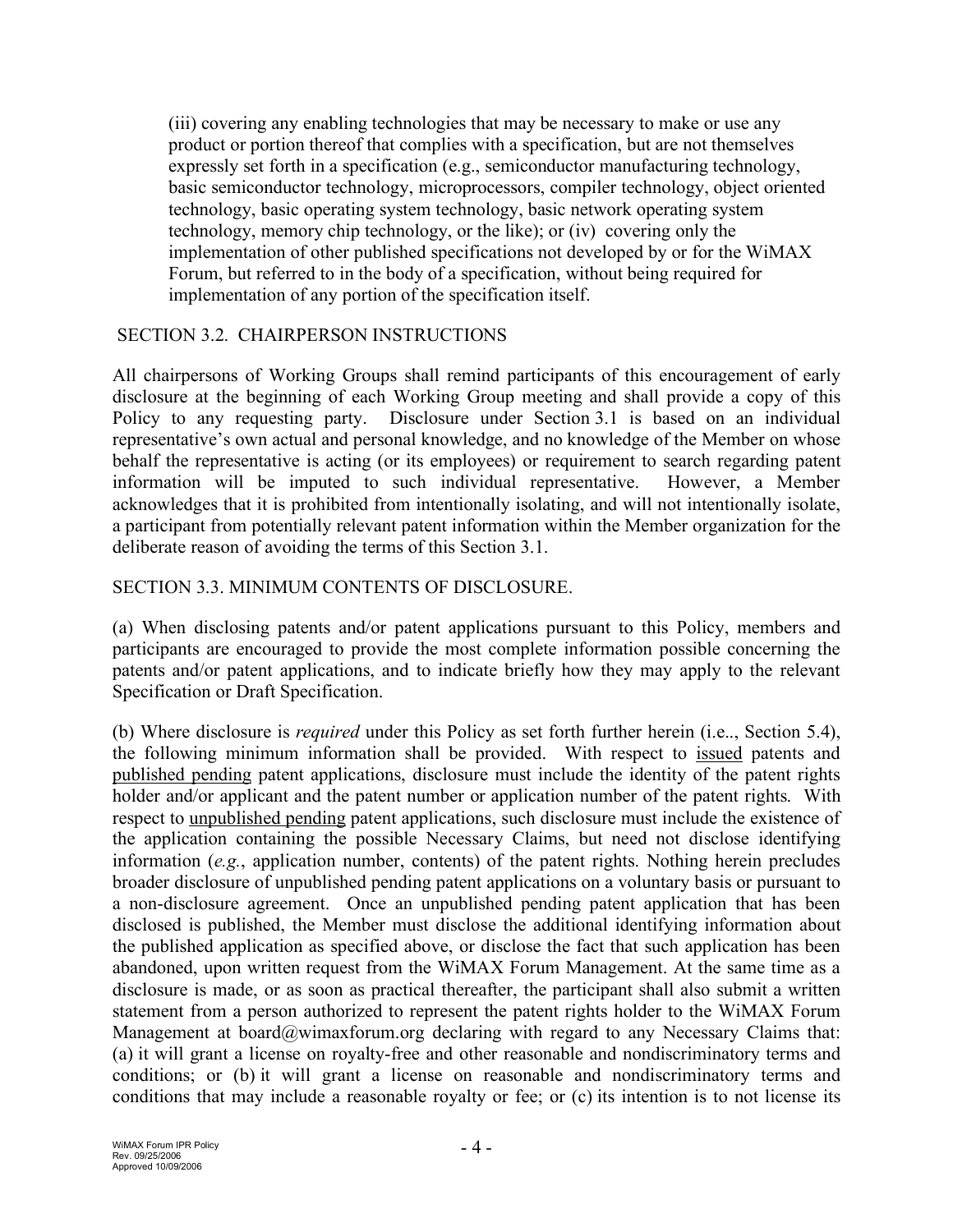(iii) covering any enabling technologies that may be necessary to make or use any product or portion thereof that complies with a specification, but are not themselves expressly set forth in a specification (e.g., semiconductor manufacturing technology, basic semiconductor technology, microprocessors, compiler technology, object oriented technology, basic operating system technology, basic network operating system technology, memory chip technology, or the like); or (iv) covering only the implementation of other published specifications not developed by or for the WiMAX Forum, but referred to in the body of a specification, without being required for implementation of any portion of the specification itself.

## SECTION 3.2. CHAIRPERSON INSTRUCTIONS

All chairpersons of Working Groups shall remind participants of this encouragement of early disclosure at the beginning of each Working Group meeting and shall provide a copy of this Policy to any requesting party. Disclosure under Section 3.1 is based on an individual representative's own actual and personal knowledge, and no knowledge of the Member on whose behalf the representative is acting (or its employees) or requirement to search regarding patent information will be imputed to such individual representative. However, a Member acknowledges that it is prohibited from intentionally isolating, and will not intentionally isolate, a participant from potentially relevant patent information within the Member organization for the deliberate reason of avoiding the terms of this Section 3.1.

#### SECTION 3.3. MINIMUM CONTENTS OF DISCLOSURE.

(a) When disclosing patents and/or patent applications pursuant to this Policy, members and participants are encouraged to provide the most complete information possible concerning the patents and/or patent applications, and to indicate briefly how they may apply to the relevant Specification or Draft Specification.

(b) Where disclosure is *required* under this Policy as set forth further herein (i.e.., Section 5.4), the following minimum information shall be provided. With respect to issued patents and published pending patent applications, disclosure must include the identity of the patent rights holder and/or applicant and the patent number or application number of the patent rights. With respect to unpublished pending patent applications, such disclosure must include the existence of the application containing the possible Necessary Claims, but need not disclose identifying information (*e.g.*, application number, contents) of the patent rights. Nothing herein precludes broader disclosure of unpublished pending patent applications on a voluntary basis or pursuant to a non-disclosure agreement. Once an unpublished pending patent application that has been disclosed is published, the Member must disclose the additional identifying information about the published application as specified above, or disclose the fact that such application has been abandoned, upon written request from the WiMAX Forum Management. At the same time as a disclosure is made, or as soon as practical thereafter, the participant shall also submit a written statement from a person authorized to represent the patent rights holder to the WiMAX Forum Management at board@wimaxforum.org declaring with regard to any Necessary Claims that: (a) it will grant a license on royalty-free and other reasonable and nondiscriminatory terms and conditions; or (b) it will grant a license on reasonable and nondiscriminatory terms and conditions that may include a reasonable royalty or fee; or (c) its intention is to not license its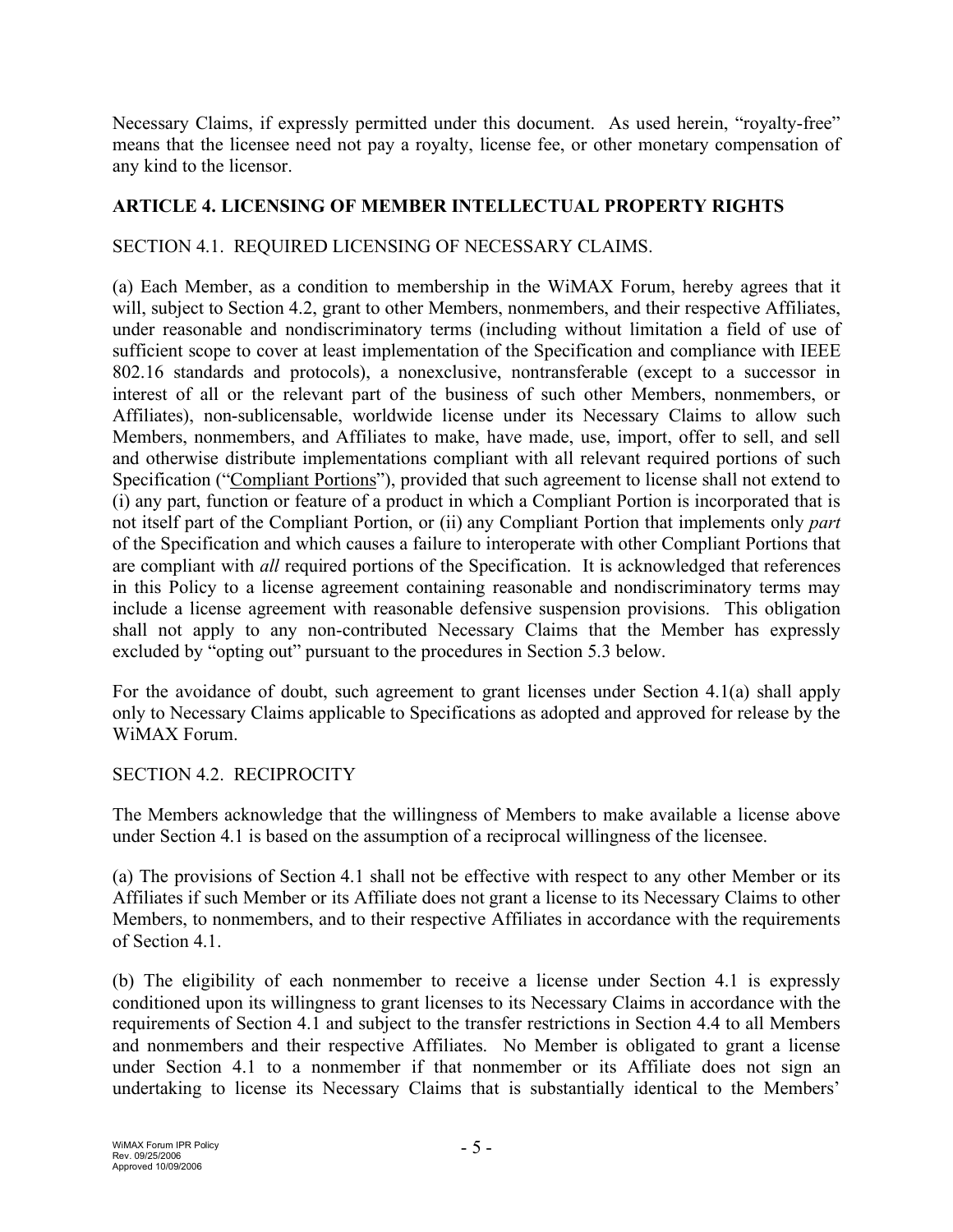Necessary Claims, if expressly permitted under this document. As used herein, "royalty-free" means that the licensee need not pay a royalty, license fee, or other monetary compensation of any kind to the licensor.

## **ARTICLE 4. LICENSING OF MEMBER INTELLECTUAL PROPERTY RIGHTS**

### SECTION 4.1. REQUIRED LICENSING OF NECESSARY CLAIMS.

(a) Each Member, as a condition to membership in the WiMAX Forum, hereby agrees that it will, subject to Section 4.2, grant to other Members, nonmembers, and their respective Affiliates, under reasonable and nondiscriminatory terms (including without limitation a field of use of sufficient scope to cover at least implementation of the Specification and compliance with IEEE 802.16 standards and protocols), a nonexclusive, nontransferable (except to a successor in interest of all or the relevant part of the business of such other Members, nonmembers, or Affiliates), non-sublicensable, worldwide license under its Necessary Claims to allow such Members, nonmembers, and Affiliates to make, have made, use, import, offer to sell, and sell and otherwise distribute implementations compliant with all relevant required portions of such Specification ("Compliant Portions"), provided that such agreement to license shall not extend to (i) any part, function or feature of a product in which a Compliant Portion is incorporated that is not itself part of the Compliant Portion, or (ii) any Compliant Portion that implements only *part* of the Specification and which causes a failure to interoperate with other Compliant Portions that are compliant with *all* required portions of the Specification. It is acknowledged that references in this Policy to a license agreement containing reasonable and nondiscriminatory terms may include a license agreement with reasonable defensive suspension provisions. This obligation shall not apply to any non-contributed Necessary Claims that the Member has expressly excluded by "opting out" pursuant to the procedures in Section 5.3 below.

For the avoidance of doubt, such agreement to grant licenses under Section 4.1(a) shall apply only to Necessary Claims applicable to Specifications as adopted and approved for release by the WiMAX Forum.

#### SECTION 4.2. RECIPROCITY

The Members acknowledge that the willingness of Members to make available a license above under Section 4.1 is based on the assumption of a reciprocal willingness of the licensee.

(a) The provisions of Section 4.1 shall not be effective with respect to any other Member or its Affiliates if such Member or its Affiliate does not grant a license to its Necessary Claims to other Members, to nonmembers, and to their respective Affiliates in accordance with the requirements of Section 4.1.

(b) The eligibility of each nonmember to receive a license under Section 4.1 is expressly conditioned upon its willingness to grant licenses to its Necessary Claims in accordance with the requirements of Section 4.1 and subject to the transfer restrictions in Section 4.4 to all Members and nonmembers and their respective Affiliates. No Member is obligated to grant a license under Section 4.1 to a nonmember if that nonmember or its Affiliate does not sign an undertaking to license its Necessary Claims that is substantially identical to the Members'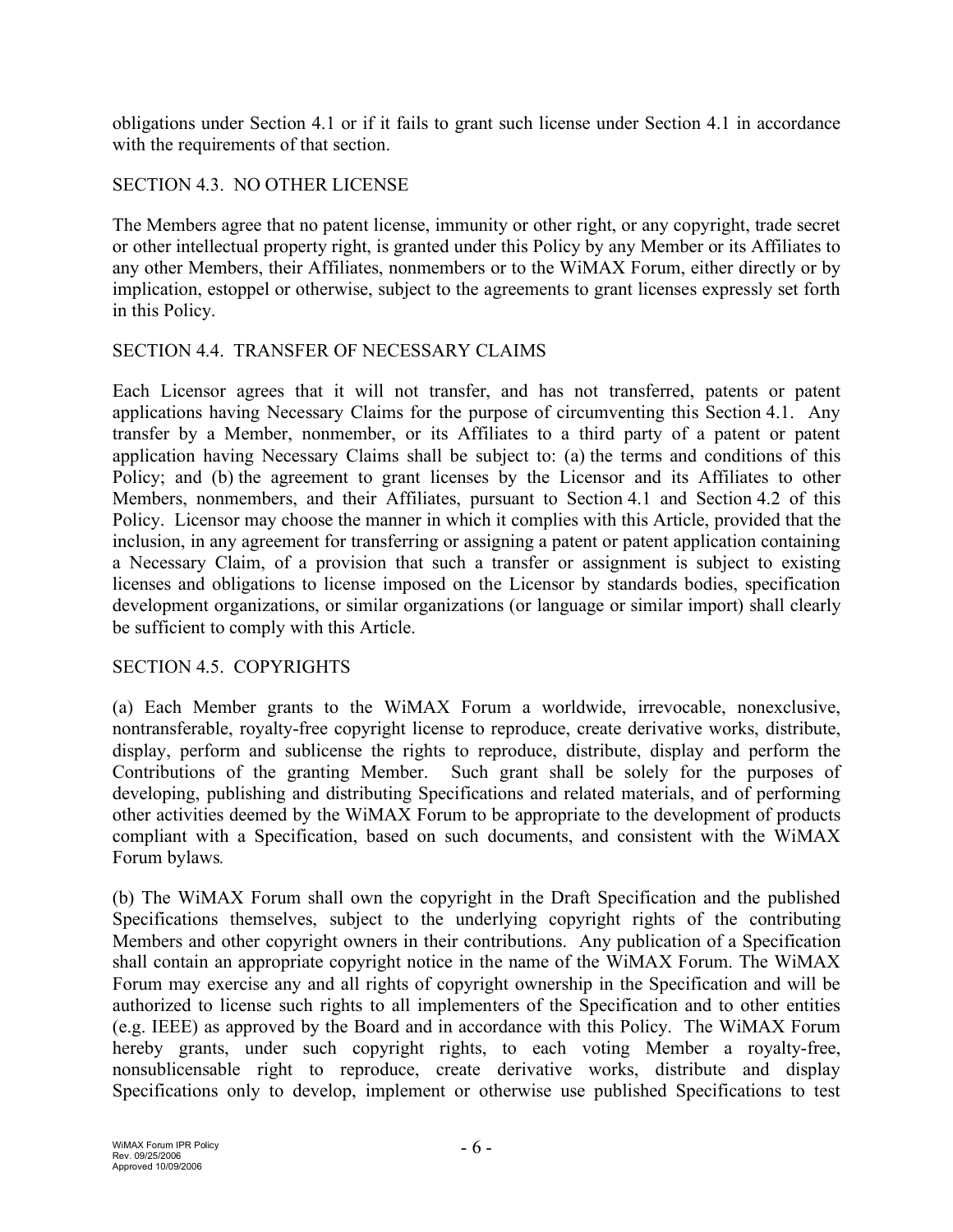obligations under Section 4.1 or if it fails to grant such license under Section 4.1 in accordance with the requirements of that section.

### SECTION 4.3. NO OTHER LICENSE

The Members agree that no patent license, immunity or other right, or any copyright, trade secret or other intellectual property right, is granted under this Policy by any Member or its Affiliates to any other Members, their Affiliates, nonmembers or to the WiMAX Forum, either directly or by implication, estoppel or otherwise, subject to the agreements to grant licenses expressly set forth in this Policy.

#### SECTION 4.4. TRANSFER OF NECESSARY CLAIMS

Each Licensor agrees that it will not transfer, and has not transferred, patents or patent applications having Necessary Claims for the purpose of circumventing this Section 4.1. Any transfer by a Member, nonmember, or its Affiliates to a third party of a patent or patent application having Necessary Claims shall be subject to: (a) the terms and conditions of this Policy; and (b) the agreement to grant licenses by the Licensor and its Affiliates to other Members, nonmembers, and their Affiliates, pursuant to Section 4.1 and Section 4.2 of this Policy. Licensor may choose the manner in which it complies with this Article, provided that the inclusion, in any agreement for transferring or assigning a patent or patent application containing a Necessary Claim, of a provision that such a transfer or assignment is subject to existing licenses and obligations to license imposed on the Licensor by standards bodies, specification development organizations, or similar organizations (or language or similar import) shall clearly be sufficient to comply with this Article.

#### SECTION 4.5. COPYRIGHTS

(a) Each Member grants to the WiMAX Forum a worldwide, irrevocable, nonexclusive, nontransferable, royalty-free copyright license to reproduce, create derivative works, distribute, display, perform and sublicense the rights to reproduce, distribute, display and perform the Contributions of the granting Member. Such grant shall be solely for the purposes of developing, publishing and distributing Specifications and related materials, and of performing other activities deemed by the WiMAX Forum to be appropriate to the development of products compliant with a Specification, based on such documents, and consistent with the WiMAX Forum bylaws*.*

(b) The WiMAX Forum shall own the copyright in the Draft Specification and the published Specifications themselves, subject to the underlying copyright rights of the contributing Members and other copyright owners in their contributions. Any publication of a Specification shall contain an appropriate copyright notice in the name of the WiMAX Forum. The WiMAX Forum may exercise any and all rights of copyright ownership in the Specification and will be authorized to license such rights to all implementers of the Specification and to other entities (e.g. IEEE) as approved by the Board and in accordance with this Policy. The WiMAX Forum hereby grants, under such copyright rights, to each voting Member a royalty-free, nonsublicensable right to reproduce, create derivative works, distribute and display Specifications only to develop, implement or otherwise use published Specifications to test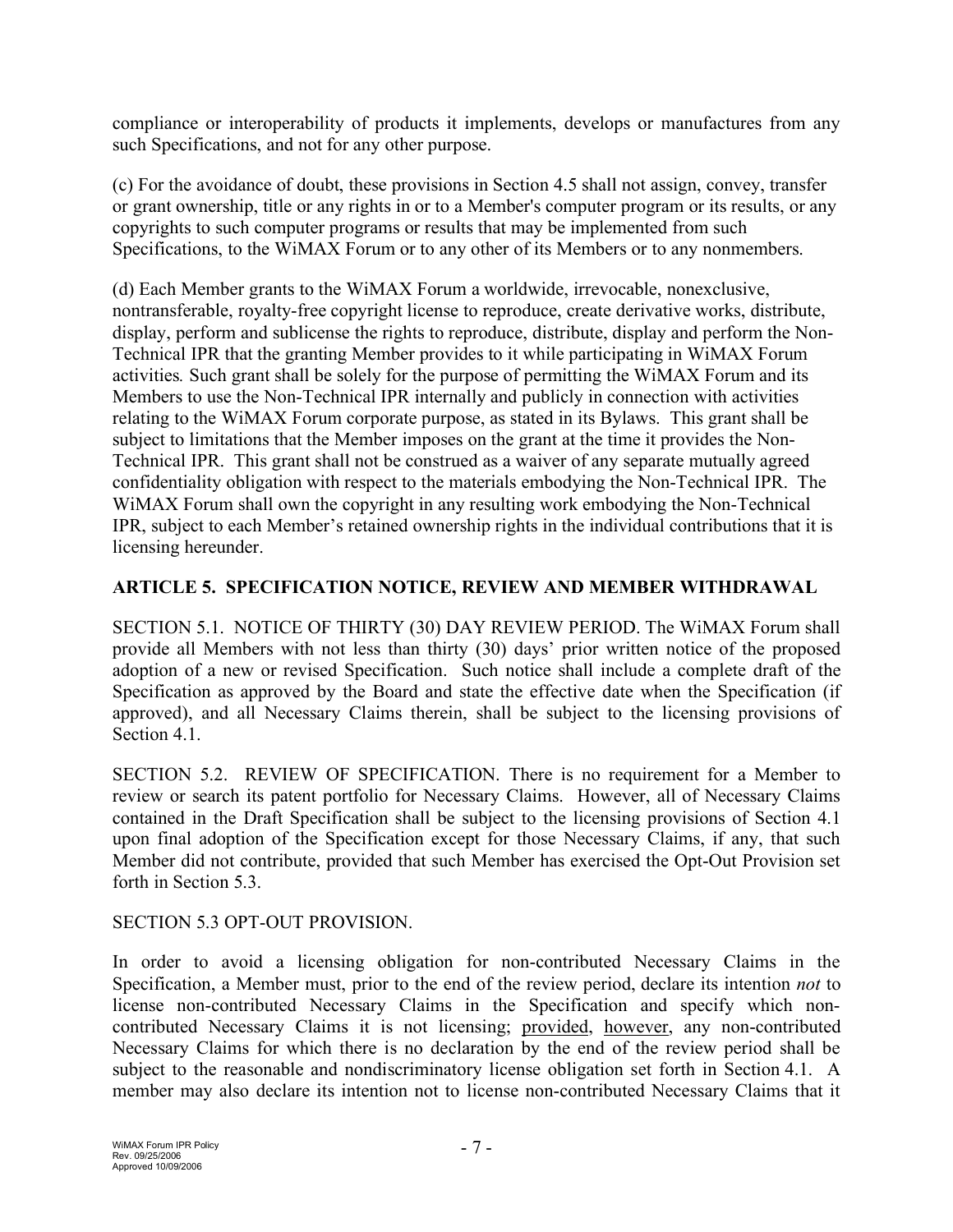compliance or interoperability of products it implements, develops or manufactures from any such Specifications, and not for any other purpose.

(c) For the avoidance of doubt, these provisions in Section 4.5 shall not assign, convey, transfer or grant ownership, title or any rights in or to a Member's computer program or its results, or any copyrights to such computer programs or results that may be implemented from such Specifications, to the WiMAX Forum or to any other of its Members or to any nonmembers.

(d) Each Member grants to the WiMAX Forum a worldwide, irrevocable, nonexclusive, nontransferable, royalty-free copyright license to reproduce, create derivative works, distribute, display, perform and sublicense the rights to reproduce, distribute, display and perform the Non-Technical IPR that the granting Member provides to it while participating in WiMAX Forum activities*.* Such grant shall be solely for the purpose of permitting the WiMAX Forum and its Members to use the Non-Technical IPR internally and publicly in connection with activities relating to the WiMAX Forum corporate purpose, as stated in its Bylaws. This grant shall be subject to limitations that the Member imposes on the grant at the time it provides the Non-Technical IPR. This grant shall not be construed as a waiver of any separate mutually agreed confidentiality obligation with respect to the materials embodying the Non-Technical IPR. The WiMAX Forum shall own the copyright in any resulting work embodying the Non-Technical IPR, subject to each Member's retained ownership rights in the individual contributions that it is licensing hereunder.

# **ARTICLE 5. SPECIFICATION NOTICE, REVIEW AND MEMBER WITHDRAWAL**

SECTION 5.1. NOTICE OF THIRTY (30) DAY REVIEW PERIOD. The WiMAX Forum shall provide all Members with not less than thirty (30) days' prior written notice of the proposed adoption of a new or revised Specification. Such notice shall include a complete draft of the Specification as approved by the Board and state the effective date when the Specification (if approved), and all Necessary Claims therein, shall be subject to the licensing provisions of Section 4.1.

SECTION 5.2. REVIEW OF SPECIFICATION. There is no requirement for a Member to review or search its patent portfolio for Necessary Claims. However, all of Necessary Claims contained in the Draft Specification shall be subject to the licensing provisions of Section 4.1 upon final adoption of the Specification except for those Necessary Claims, if any, that such Member did not contribute, provided that such Member has exercised the Opt-Out Provision set forth in Section 5.3.

## SECTION 5.3 OPT-OUT PROVISION.

In order to avoid a licensing obligation for non-contributed Necessary Claims in the Specification, a Member must, prior to the end of the review period, declare its intention *not* to license non-contributed Necessary Claims in the Specification and specify which noncontributed Necessary Claims it is not licensing; provided, however, any non-contributed Necessary Claims for which there is no declaration by the end of the review period shall be subject to the reasonable and nondiscriminatory license obligation set forth in Section 4.1. A member may also declare its intention not to license non-contributed Necessary Claims that it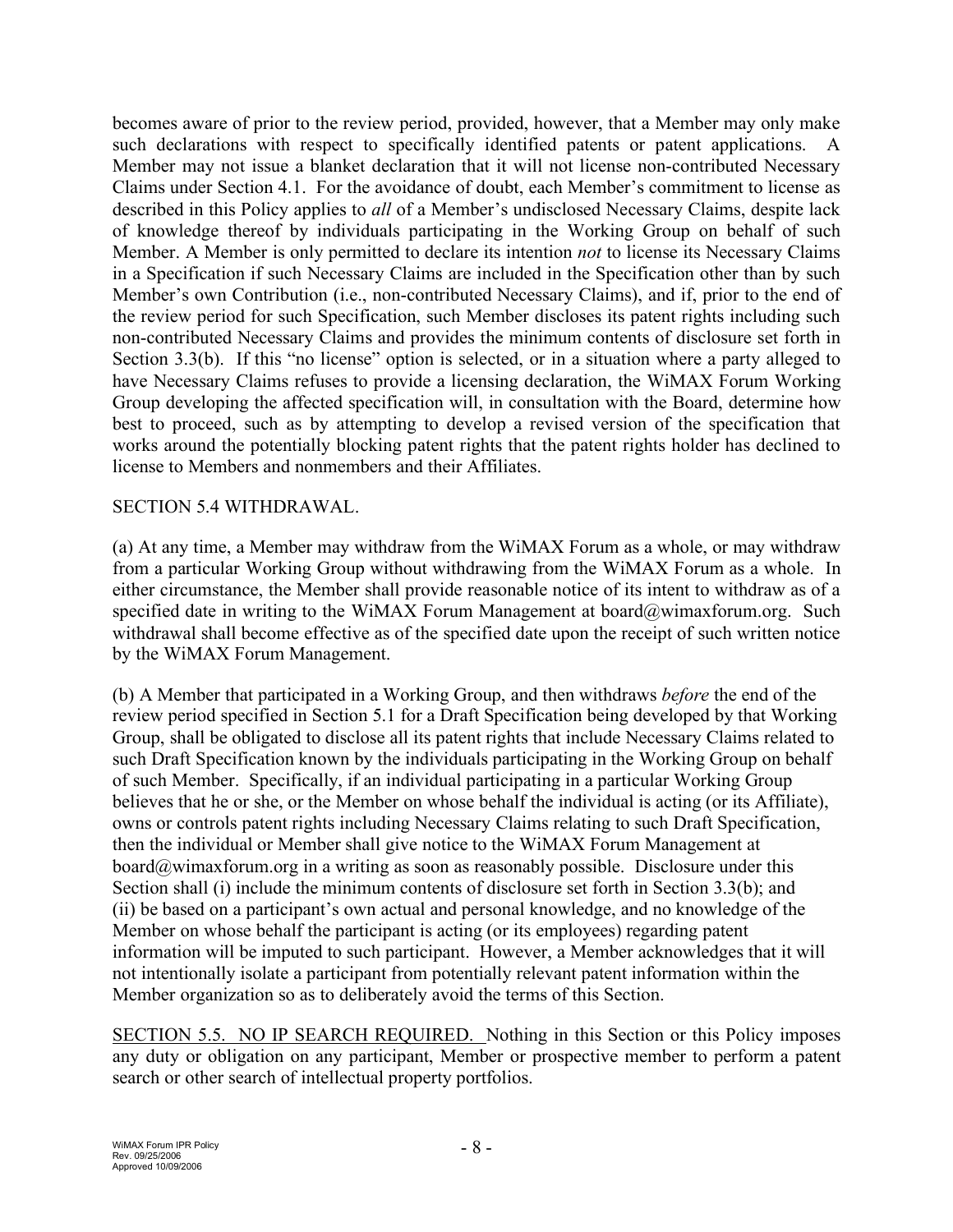becomes aware of prior to the review period, provided, however, that a Member may only make such declarations with respect to specifically identified patents or patent applications. A Member may not issue a blanket declaration that it will not license non-contributed Necessary Claims under Section 4.1. For the avoidance of doubt, each Member's commitment to license as described in this Policy applies to *all* of a Member's undisclosed Necessary Claims, despite lack of knowledge thereof by individuals participating in the Working Group on behalf of such Member. A Member is only permitted to declare its intention *not* to license its Necessary Claims in a Specification if such Necessary Claims are included in the Specification other than by such Member's own Contribution (i.e., non-contributed Necessary Claims), and if, prior to the end of the review period for such Specification, such Member discloses its patent rights including such non-contributed Necessary Claims and provides the minimum contents of disclosure set forth in Section 3.3(b). If this "no license" option is selected, or in a situation where a party alleged to have Necessary Claims refuses to provide a licensing declaration, the WiMAX Forum Working Group developing the affected specification will, in consultation with the Board, determine how best to proceed, such as by attempting to develop a revised version of the specification that works around the potentially blocking patent rights that the patent rights holder has declined to license to Members and nonmembers and their Affiliates.

## SECTION 5.4 WITHDRAWAL.

(a) At any time, a Member may withdraw from the WiMAX Forum as a whole, or may withdraw from a particular Working Group without withdrawing from the WiMAX Forum as a whole. In either circumstance, the Member shall provide reasonable notice of its intent to withdraw as of a specified date in writing to the WiMAX Forum Management at board@wimaxforum.org. Such withdrawal shall become effective as of the specified date upon the receipt of such written notice by the WiMAX Forum Management.

(b) A Member that participated in a Working Group, and then withdraws *before* the end of the review period specified in Section 5.1 for a Draft Specification being developed by that Working Group, shall be obligated to disclose all its patent rights that include Necessary Claims related to such Draft Specification known by the individuals participating in the Working Group on behalf of such Member. Specifically, if an individual participating in a particular Working Group believes that he or she, or the Member on whose behalf the individual is acting (or its Affiliate), owns or controls patent rights including Necessary Claims relating to such Draft Specification, then the individual or Member shall give notice to the WiMAX Forum Management at board@wimaxforum.org in a writing as soon as reasonably possible. Disclosure under this Section shall (i) include the minimum contents of disclosure set forth in Section 3.3(b); and (ii) be based on a participant's own actual and personal knowledge, and no knowledge of the Member on whose behalf the participant is acting (or its employees) regarding patent information will be imputed to such participant. However, a Member acknowledges that it will not intentionally isolate a participant from potentially relevant patent information within the Member organization so as to deliberately avoid the terms of this Section.

SECTION 5.5. NO IP SEARCH REQUIRED. Nothing in this Section or this Policy imposes any duty or obligation on any participant, Member or prospective member to perform a patent search or other search of intellectual property portfolios.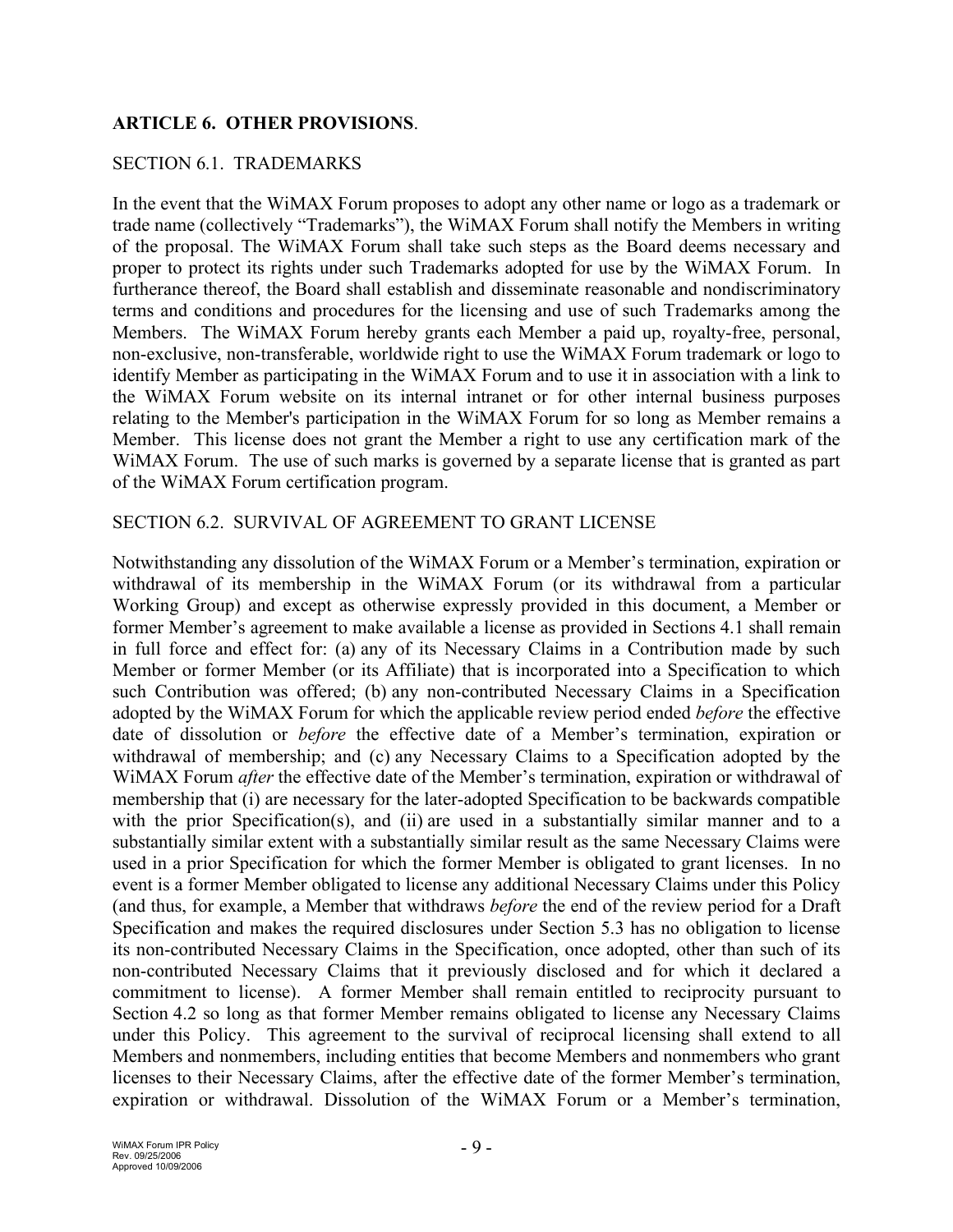## **ARTICLE 6. OTHER PROVISIONS**.

#### SECTION 6.1. TRADEMARKS

In the event that the WiMAX Forum proposes to adopt any other name or logo as a trademark or trade name (collectively "Trademarks"), the WiMAX Forum shall notify the Members in writing of the proposal. The WiMAX Forum shall take such steps as the Board deems necessary and proper to protect its rights under such Trademarks adopted for use by the WiMAX Forum. In furtherance thereof, the Board shall establish and disseminate reasonable and nondiscriminatory terms and conditions and procedures for the licensing and use of such Trademarks among the Members. The WiMAX Forum hereby grants each Member a paid up, royalty-free, personal, non-exclusive, non-transferable, worldwide right to use the WiMAX Forum trademark or logo to identify Member as participating in the WiMAX Forum and to use it in association with a link to the WiMAX Forum website on its internal intranet or for other internal business purposes relating to the Member's participation in the WiMAX Forum for so long as Member remains a Member. This license does not grant the Member a right to use any certification mark of the WiMAX Forum. The use of such marks is governed by a separate license that is granted as part of the WiMAX Forum certification program.

#### SECTION 6.2. SURVIVAL OF AGREEMENT TO GRANT LICENSE

Notwithstanding any dissolution of the WiMAX Forum or a Member's termination, expiration or withdrawal of its membership in the WiMAX Forum (or its withdrawal from a particular Working Group) and except as otherwise expressly provided in this document, a Member or former Member's agreement to make available a license as provided in Sections 4.1 shall remain in full force and effect for: (a) any of its Necessary Claims in a Contribution made by such Member or former Member (or its Affiliate) that is incorporated into a Specification to which such Contribution was offered; (b) any non-contributed Necessary Claims in a Specification adopted by the WiMAX Forum for which the applicable review period ended *before* the effective date of dissolution or *before* the effective date of a Member's termination, expiration or withdrawal of membership; and (c) any Necessary Claims to a Specification adopted by the WiMAX Forum *after* the effective date of the Member's termination, expiration or withdrawal of membership that (i) are necessary for the later-adopted Specification to be backwards compatible with the prior Specification(s), and (ii) are used in a substantially similar manner and to a substantially similar extent with a substantially similar result as the same Necessary Claims were used in a prior Specification for which the former Member is obligated to grant licenses. In no event is a former Member obligated to license any additional Necessary Claims under this Policy (and thus, for example, a Member that withdraws *before* the end of the review period for a Draft Specification and makes the required disclosures under Section 5.3 has no obligation to license its non-contributed Necessary Claims in the Specification, once adopted, other than such of its non-contributed Necessary Claims that it previously disclosed and for which it declared a commitment to license). A former Member shall remain entitled to reciprocity pursuant to Section 4.2 so long as that former Member remains obligated to license any Necessary Claims under this Policy. This agreement to the survival of reciprocal licensing shall extend to all Members and nonmembers, including entities that become Members and nonmembers who grant licenses to their Necessary Claims, after the effective date of the former Member's termination, expiration or withdrawal. Dissolution of the WiMAX Forum or a Member's termination,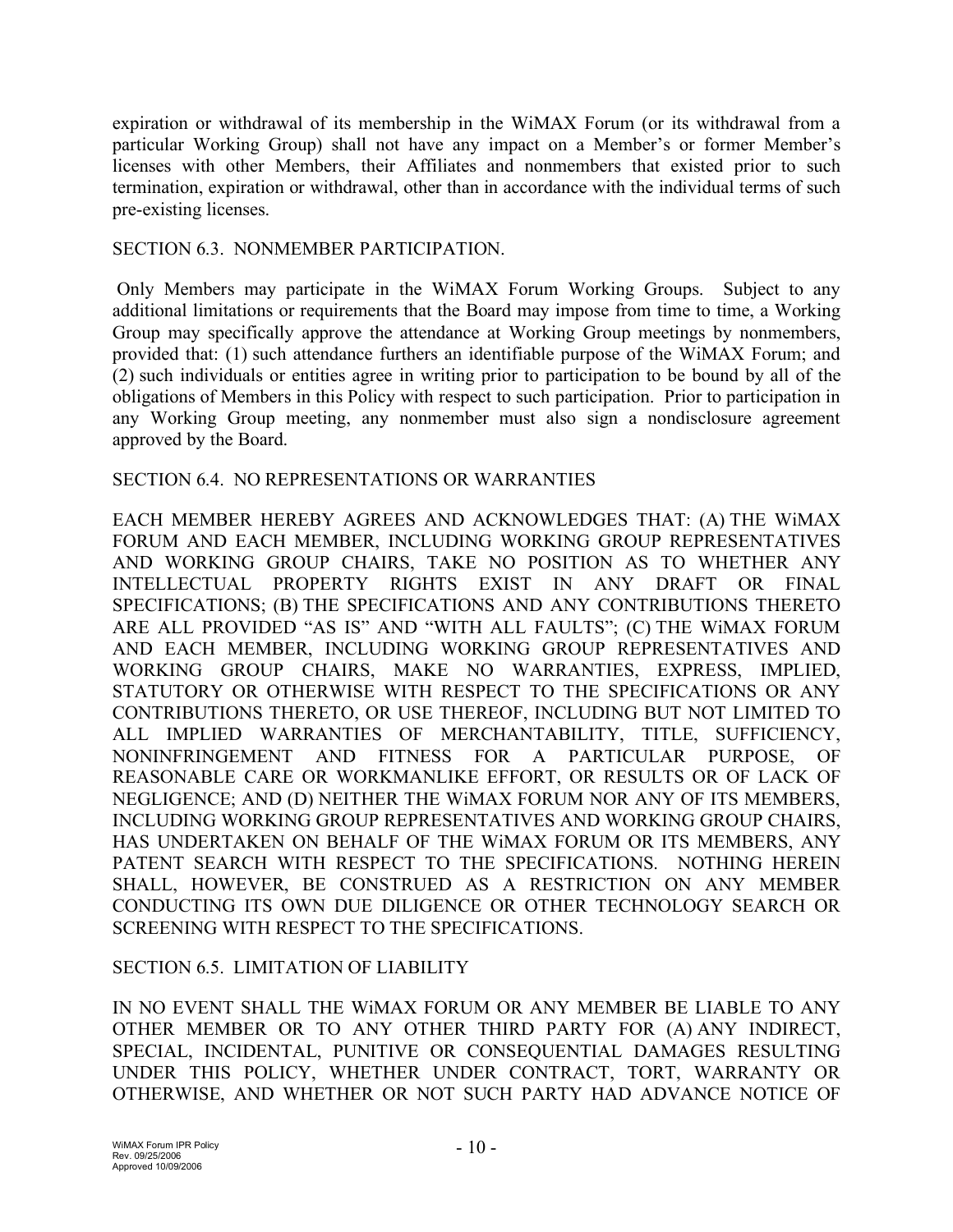expiration or withdrawal of its membership in the WiMAX Forum (or its withdrawal from a particular Working Group) shall not have any impact on a Member's or former Member's licenses with other Members, their Affiliates and nonmembers that existed prior to such termination, expiration or withdrawal, other than in accordance with the individual terms of such pre-existing licenses.

#### SECTION 6.3. NONMEMBER PARTICIPATION.

Only Members may participate in the WiMAX Forum Working Groups. Subject to any additional limitations or requirements that the Board may impose from time to time, a Working Group may specifically approve the attendance at Working Group meetings by nonmembers, provided that: (1) such attendance furthers an identifiable purpose of the WiMAX Forum; and (2) such individuals or entities agree in writing prior to participation to be bound by all of the obligations of Members in this Policy with respect to such participation. Prior to participation in any Working Group meeting, any nonmember must also sign a nondisclosure agreement approved by the Board.

#### SECTION 6.4. NO REPRESENTATIONS OR WARRANTIES

EACH MEMBER HEREBY AGREES AND ACKNOWLEDGES THAT: (A) THE WiMAX FORUM AND EACH MEMBER, INCLUDING WORKING GROUP REPRESENTATIVES AND WORKING GROUP CHAIRS, TAKE NO POSITION AS TO WHETHER ANY INTELLECTUAL PROPERTY RIGHTS EXIST IN ANY DRAFT OR FINAL SPECIFICATIONS; (B) THE SPECIFICATIONS AND ANY CONTRIBUTIONS THERETO ARE ALL PROVIDED "AS IS" AND "WITH ALL FAULTS"; (C) THE WiMAX FORUM AND EACH MEMBER, INCLUDING WORKING GROUP REPRESENTATIVES AND WORKING GROUP CHAIRS, MAKE NO WARRANTIES, EXPRESS, IMPLIED, STATUTORY OR OTHERWISE WITH RESPECT TO THE SPECIFICATIONS OR ANY CONTRIBUTIONS THERETO, OR USE THEREOF, INCLUDING BUT NOT LIMITED TO ALL IMPLIED WARRANTIES OF MERCHANTABILITY, TITLE, SUFFICIENCY, NONINFRINGEMENT AND FITNESS FOR A PARTICULAR PURPOSE, OF REASONABLE CARE OR WORKMANLIKE EFFORT, OR RESULTS OR OF LACK OF NEGLIGENCE; AND (D) NEITHER THE WiMAX FORUM NOR ANY OF ITS MEMBERS, INCLUDING WORKING GROUP REPRESENTATIVES AND WORKING GROUP CHAIRS, HAS UNDERTAKEN ON BEHALF OF THE WiMAX FORUM OR ITS MEMBERS, ANY PATENT SEARCH WITH RESPECT TO THE SPECIFICATIONS. NOTHING HEREIN SHALL, HOWEVER, BE CONSTRUED AS A RESTRICTION ON ANY MEMBER CONDUCTING ITS OWN DUE DILIGENCE OR OTHER TECHNOLOGY SEARCH OR SCREENING WITH RESPECT TO THE SPECIFICATIONS.

#### SECTION 6.5. LIMITATION OF LIABILITY

IN NO EVENT SHALL THE WiMAX FORUM OR ANY MEMBER BE LIABLE TO ANY OTHER MEMBER OR TO ANY OTHER THIRD PARTY FOR (A) ANY INDIRECT, SPECIAL, INCIDENTAL, PUNITIVE OR CONSEQUENTIAL DAMAGES RESULTING UNDER THIS POLICY, WHETHER UNDER CONTRACT, TORT, WARRANTY OR OTHERWISE, AND WHETHER OR NOT SUCH PARTY HAD ADVANCE NOTICE OF